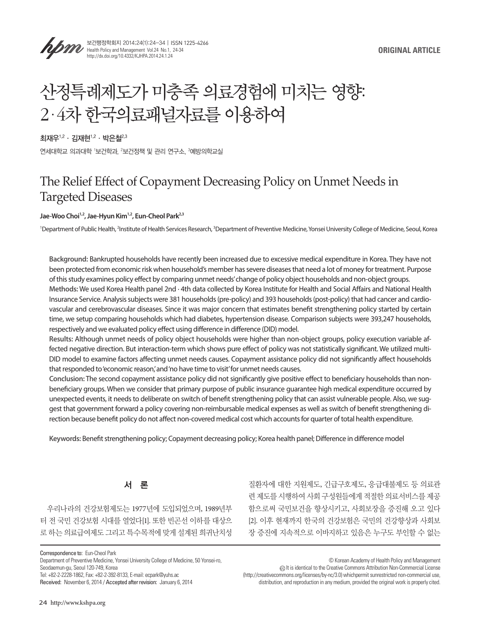



보건행정학회지 2014;24(1):24-34 | ISSN 1225-4266 Health Policy and Management Vol.24 No.1, 24-34 http://dx.doi.org/10.4332/KJHPA.2014.24.1.24

# 산정특례제도가 미충족 의료경험에 미치는 영향: 2ㆍ4차 한국의료패널자료를 이용하여

 $\overline{\mathbf{a}}$ 재우 $1,2$  · 김재현 $1,2$  · 박은철 $^{2,3}$ 

연세대학교 의과대학 '보건학과, <sup>2</sup>보건정책 및 관리 연구소, <sup>3</sup>예방의학교실

# The Relief Effect of Copayment Decreasing Policy on Unmet Needs in Targeted Diseases

#### Jae-Woo Choi<sup>1,2</sup>, Jae-Hyun Kim<sup>1,2</sup>, Eun-Cheol Park<sup>2,3</sup>

<sup>1</sup>Department of Public Health, <sup>2</sup>Institute of Health Services Research, <sup>3</sup>Department of Preventive Medicine, Yonsei University College of Medicine, Seoul, Korea

**Background:** Bankrupted households have recently been increased due to excessive medical expenditure in Korea. They have not been protected from economic risk when household's member has severe diseases that need a lot of money for treatment. Purpose of this study examines policy effect by comparing unmet needs' change of policy object households and non-object groups. **Methods:** We used Korea Health panel 2nd ∙ 4th data collected by Korea Institute for Health and Social Affairs and National Health Insurance Service. Analysis subjects were 381 households (pre-policy) and 393 households (post-policy) that had cancer and cardiovascular and cerebrovascular diseases. Since it was major concern that estimates benefit strengthening policy started by certain time, we setup comparing households which had diabetes, hypertension disease. Comparison subjects were 393,247 households, respectively and we evaluated policy effect using difference in difference (DID) model.

**Results:** Although unmet needs of policy object households were higher than non-object groups, policy execution variable affected negative direction. But interaction-term which shows pure effect of policy was not statistically significant. We utilized multi-DID model to examine factors affecting unmet needs causes. Copayment assistance policy did not significantly affect households that responded to 'economic reason,' and 'no have time to visit' for unmet needs causes.

**Conclusion:** The second copayment assistance policy did not significantly give positive effect to beneficiary households than nonbeneficiary groups. When we consider that primary purpose of public insurance guarantee high medical expenditure occurred by unexpected events, it needs to deliberate on switch of benefit strengthening policy that can assist vulnerable people. Also, we suggest that government forward a policy covering non-reimbursable medical expenses as well as switch of benefit strengthening direction because benefit policy do not affect non-covered medical cost which accounts for quarter of total health expenditure.

**Keywords:** Benefit strengthening policy; Copayment decreasing policy; Korea health panel; Difference in difference model



우리나라의 건강보험제도는 1977년에 도입되었으며, 1989년부 터 전 국민 건강보험 시대를 열었다[1]. 또한 빈곤선 이하를 대상으 로 하는 의료급여제도 그리고 특수목적에 맞게 설계된 희귀난치성

질환자에 대한 지원제도, 긴급구호제도, 응급대불제도 등 의료관 련 제도를 시행하여 사회 구성원들에게 적절한 의료서비스를 제공 함으로써 국민보건을 향상시키고, 사회보장을 증진해 오고 있다 [2]. 이후 현재까지 한국의 건강보험은 국민의 건강향상과 사회보 장 증진에 지속적으로 이바지하고 있음은 누구도 부인할 수 없는

Department of Preventive Medicine, Yonsei University College of Medicine, 50 Yonsei-ro, Seodaemun-gu, Seoul 120-749, Korea

Tel: +82-2-2228-1862, Fax: +82-2-392-8133, E-mail: ecpark@yuhs.ac

 It is identical to the Creative Commons Attribution Non-Commercial License (http://creativecommons.org/licenses/by-nc/3.0) whichpermit sunrestricted non-commercial use, distribution, and reproduction in any medium, provided the original work is properly cited.

Correspondence to: Eun-Cheol Park

Received: November 6, 2014 / Accepted after revision: January 6, 2014

<sup>©</sup> Korean Academy of Health Policy and Management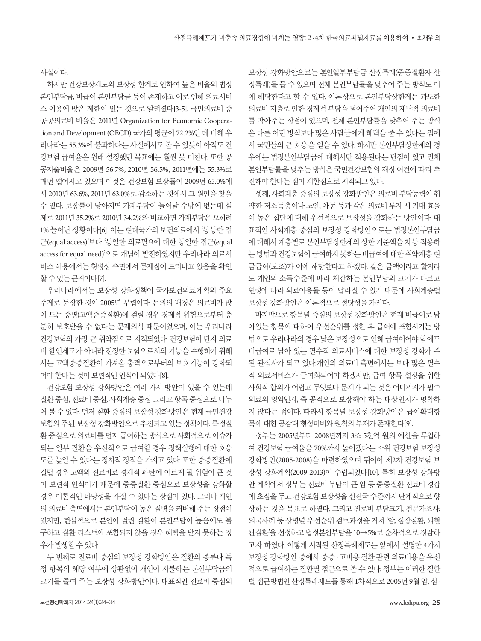사실이다.

하지만 건강보장제도의 보장성 한계로 인하여 높은 비율의 법정 본인부담금, 비급여 본인부담금 등이 존재하고 이로 인해 의료서비 스 이용에 많은 제한이 있는 것으로 알려졌다[3-5]. 국민의료비 중 공공의료비 비율은 2011년 Organization for Economic Cooperation and Development (OECD) 국가의 평균이 72.2%인 데 비해 우 리나라는 55.3%에 불과하다는 사실에서도 볼 수 있듯이 아직도 건 강보험 급여율은 원래 설정했던 목표에는 훨씬 못 미친다. 또한 공 공지출비율은 2009년 56.7%, 2010년 56.5%, 2011년에는 55.3%로 매년 떨어지고 있으며 이것은 건강보험 보장률이 2009년 65.0%에 서 2010년 63.6%, 2011년 63.0%로 감소하는 것에서 그 원인을 찾을 수 있다. 보장률이 낮아지면 가계부담이 늘어날 수밖에 없는데 실 제로 2011년 35.2%로 2010년 34.2%와 비교하면 가계부담은 오히려 1% 늘어난 상황이다[6]. 이는 현대국가의 보건의료에서 '동등한 접 근(equal access)'보다 '동일한 의료필요에 대한 동일한 접근(equal access for equal need)'으로 개념이 발전하였지만 우리나라 의료서 비스 이용에서는 형평성 측면에서 문제점이 드러나고 있음을 확인 할수있는근거이다[7].

우리나라에서는 보장성 강화정책이 국가보건의료계획의 주요 주제로 등장한 것이 2005년 무렵이다. 논의의 배경은 의료비가 많 이 드는 중병(고액중증질환)에 걸릴 경우 경제적 위험으로부터 충 분히 보호받을 수 없다는 문제의식 때문이었으며, 이는 우리나라 건강보험의 가장 큰 취약점으로 지적되었다. 건강보험이 단지 의료 비 할인제도가 아니라 진정한 보험으로서의 기능을 수행하기 위해 서는 고액중증질환이 가져올 충격으로부터의 보호기능이 강화되 어야한다는것이보편적인인식이되었다[8].

건강보험 보장성 강화방안은 여러 가지 방안이 있을 수 있는데 질환 중심, 진료비 중심, 사회계층 중심 그리고 항목 중심으로 나누 어 볼 수 있다. 먼저 질환 중심의 보장성 강화방안은 현재 국민건강 보험의 주된 보장성 강화방안으로 추진되고 있는 정책이다. 특정질 환 중심으로 의료비를 먼저 급여하는 방식으로 사회적으로 이슈가 되는 일부 질환을 우선적으로 급여할 경우 정책실행에 대한 호응 도를 높일 수 있다는 정치적 장점을 가지고 있다. 또한 중증질환에 걸릴 경우 고액의 진료비로 경제적 파탄에 이르게 될 위험이 큰 것 이 보편적 인식이기 때문에 중증질환 중심으로 보장성을 강화할 경우 이론적인 타당성을 가질 수 있다는 장점이 있다. 그러나 개인 의 의료비 측면에서는 본인부담이 높은 질병을 커버해 주는 장점이 있지만, 현실적으로 본인이 걸린 질환이 본인부담이 높음에도 불 구하고 질환 리스트에 포함되지 않을 경우 혜택을 받지 못하는 경 우가발생할수있다.

두 번째로 진료비 중심의 보장성 강화방안은 질환의 종류나 특 정 항목의 해당 여부에 상관없이 개인이 지불하는 본인부담금의 크기를 줄여 주는 보장성 강화방안이다. 대표적인 진료비 중심의 보장성 강화방안으로는 본인일부부담금 산정특례(중증질환자 산 정특례)를 들 수 있으며 전체 본인부담률을 낮추어 주는 방식도 이 에 해당한다고 할 수 있다. 이론상으로 본인부담상한제는 과도한 의료비 지출로 인한 경제적 부담을 덜어주어 개인의 재난적 의료비 를 막아주는 장점이 있으며, 전체 본인부담률을 낮추어 주는 방식 은 다른 어떤 방식보다 많은 사람들에게 혜택을 줄 수 있다는 점에 서 국민들의 큰 호응을 얻을 수 있다. 하지만 본인부담상한제의 경 우에는 법정본인부담금에 대해서만 적용된다는 단점이 있고 전체 본인부담률을 낮추는 방식은 국민건강보험의 재정 여건에 따라 추 진해야한다는점이제한점으로지적되고있다.

셋째, 사회계층중심의보장성강화방안은의료비부담능력이취 약한 저소득층이나 노인, 아동 등과 같은 의료비 투자 시 기대 효율 이 높은 집단에 대해 우선적으로 보장성을 강화하는 방안이다. 대 표적인 사회계층 중심의 보장성 강화방안으로는 법정본인부담금 에 대해서 계층별로 본인부담상한제의 상한 기준액을 차등 적용하 는 방법과 건강보험이 급여하지 못하는 비급여에 대한 취약계층 현 금급여(보조)가 이에 해당한다고 하겠다. 같은 금액이라고 할지라 도 개인의 소득수준에 따라 체감하는 본인부담의 크기가 다르고 연령에 따라 의료이용률 등이 달라질 수 있기 때문에 사회계층별 보장성강화방안은이론적으로정당성을가진다.

마지막으로 항목별 중심의 보장성 강화방안은 현재 비급여로 남 아있는 항목에 대하여 우선순위를 정한 후 급여에 포함시키는 방 법으로 우리나라의 경우 낮은 보장성으로 인해 급여이어야 함에도 비급여로 남아 있는 필수적 의료서비스에 대한 보장성 강화가 주 된 관심사가 되고 있다.개인의 의료비 측면에서는 보다 많은 필수 적 의료서비스가 급여화되어야 하겠지만, 급여 항목 설정을 위한 사회적 합의가 어렵고 무엇보다 문제가 되는 것은 어디까지가 필수 의료의 영역인지, 즉 공적으로 보장해야 하는 대상인지가 명확하 지 않다는 점이다. 따라서 항목별 보장성 강화방안은 급여확대항 목에대한공감대형성미비와원칙의부재가존재한다[9].

정부는 2005년부터 2008년까지 3조 5천억 원의 예산을 투입하 여 건강보험 급여율을 70%까지 높이겠다는 소위 건강보험 보장성 강화방안(2005-2008)을 마련하였으며 뒤이어 제2차 건강보험 보 장성 강화계획(2009-2013)이 수립되었다[10]. 특히 보장성 강화방 안 계획에서 정부는 진료비 부담이 큰 암 등 중증질환 진료비 경감 에 초점을 두고 건강보험 보장성을 선진국 수준까지 단계적으로 향 상하는 것을 목표로 하였다. 그리고 진료비 부담크기, 전문가조사, 외국사례 등 상병별 우선순위 검토과정을 거쳐 '암, 심장질환, 뇌혈 관질환'을 선정하고 법정본인부담을 10→5%로 순차적으로 경감하 고자 하였다. 이렇게 시작된 산정특례제도는 앞에서 설명한 4가지 보장성 강화방안 중에서 중증 · 고비용 질환 관련 의료비용을 우선 적으로 급여하는 질환별 접근으로 볼 수 있다. 정부는 이러한 질환 별 접근방법인 산정특례제도를 통해 1차적으로 2005년 9월 암, 심 ·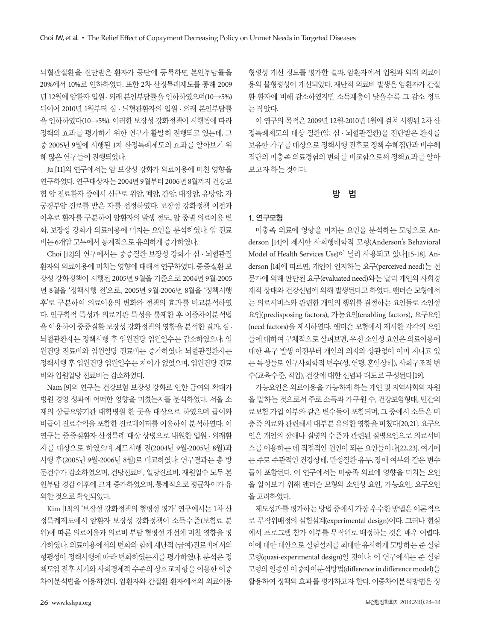뇌혈관질환을 진단받은 환자가 공단에 등록하면 본인부담률을 20%에서 10%로 인하하였다. 또한 2차 산정특례제도를 통해 2009 년 12월에 암환자 입원 · 외래 본인부담률을 인하하였으며(10→5%) 뒤이어 2010년 1월부터 심 · 뇌혈관환자의 입원 · 외래 본인부담률 을 인하하였다(10→5%). 이러한 보장성 강화정책이 시행됨에 따라 정책의 효과를 평가하기 위한 연구가 활발히 진행되고 있는데, 그 중 2005년 9월에 시행된 1차 산정특례제도의 효과를 알아보기 위 해 많은 연구들이 진행되었다.

Ju [11]의 연구에서는 암 보장성 강화가 의료이용에 미친 영향을 연구하였다. 연구대상자는 2004년 9월부터 2006년 8월까지 건강보 험 암 진료환자 중에서 신규로 위암, 폐암, 간암, 대장암, 유방암, 자 궁경부암 진료를 받은 자를 선정하였다. 보장성 강화정책 이전과 이후로 환자를 구분하여 암환자의 발생 정도, 암 종별 의료이용 변 화, 보장성 강화가 의료이용에 미치는 요인을 분석하였다. 암 진료 비는 6개암모두에서통계적으로유의하게증가하였다.

Choi [12]의 연구에서는 중증질환 보장성 강화가 심 · 뇌혈관질 환자의 의료이용에 미치는 영향에 대해서 연구하였다. 중증질화 보 장성 강화정책이 시행된 2005년 9월을 기준으로 2004년 9월-2005 년 8월을 '정책시행 전'으로, 2005년 9월-2006년 8월을 '정책시행 후'로 구분하여 의료이용의 변화와 정책의 효과를 비교분석하였 다. 인구학적 특성과 의료기관 특성을 통제한 후 이중차이분석법 을 이용하여 중증질환 보장성 강화정책의 영향을 분석한 결과, 심 · 뇌혈관환자는 정책시행 후 입원건당 입원일수는 감소하였으나, 입 원건당 진료비와 입원일당 진료비는 증가하였다. 뇌혈관질환자는 정책시행 후 입원건당 입원일수는 차이가 없었으며, 입원건당 진료 비와입원일당진료비는감소하였다.

Nam [9]의 연구는 건강보험 보장성 강화로 인한 급여의 확대가 병원 경영 성과에 어떠한 영향을 미쳤는지를 분석하였다. 서울 소 재의 상급요양기관 대학병원 한 곳을 대상으로 하였으며 급여와 비급여 진료수익을 포함한 진료데이터를 이용하여 분석하였다. 이 연구는 중증질환자 산정특례 대상 상병으로 내원한 입원 · 외래환 자를 대상으로 하였으며 제도시행 전(2004년 9월-2005년 8월)과 시행 후(2005년 9월-2006년 8월)로 비교하였다. 연구결과는 총 방 문건수가 감소하였으며, 건당진료비, 일당진료비, 재원일수 모두 본 인부담 경감 이후에 크게 증가하였으며, 통계적으로 평균차이가 유 의한것으로확인되었다.

Kim [13]의 '보장성 강화정책의 형평성 평가' 연구에서는 1차 산 정특례제도에서 암환자 보장성 강화정책이 소득수준(보험료 분 위)에 따른 의료이용과 의료비 부담 형평성 개선에 미친 영향을 평 가하였다. 의료이용에서의 변화와 함께 재난적 (급여)진료비에서의 형평성이 정책시행에 따라 변화하였는지를 평가하였다. 분석은 정 책도입 전후 시기와 사회경제적 수준의 상호교차항을 이용한 이중 차이분석법을 이용하였다. 암환자와 간질환 환자에서의 의료이용

형평성 개선 정도를 평가한 결과, 암환자에서 입원과 외래 의료이 용의 불형평성이 개선되었다. 재난적 의료비 발생은 암환자가 간질 환 환자에 비해 감소하였지만 소득계층이 낮을수록 그 감소 정도 는작았다.

이 연구의 목적은 2009년 12월-2010년 1월에 걸쳐 시행된 2차 산 정특례제도의 대상 질환(암, 심 · 뇌혈관질환)을 진단받은 환자를 보유한 가구를 대상으로 정책시행 전후로 정책 수혜집단과 비수혜 집단의 미충족 의료경험의 변화를 비교함으로써 정책효과를 알아 보고자하는것이다.

#### 방 법

#### 1. 연구모형

미충족 의료에 영향을 미치는 요인을 분석하는 모형으로 Anderson [14]이 제시한 사회행태학적 모형(Anderson's Behavioral Model of Health Services Use)이 널리 사용되고 있다[15-18]. Anderson [14]에 따르면, 개인이 인지하는 요구(perceived need)는 전 문가에 의해 판단된 요구(evaluated need)와는 달리 개인의 사회경 제적 상태와 건강신념에 의해 발생된다고 하였다. 앤더슨 모형에서 는 의료서비스와 관련한 개인의 행위를 결정하는 요인들로 소인성 요인(predisposing factors), 가능요인(enabling factors), 요구요인 (need factors)을 제시하였다. 앤더슨 모형에서 제시한 각각의 요인 들에 대하여 구체적으로 살펴보면, 우선 소인성 요인은 의료이용에 대한 욕구 발생 이전부터 개인의 의지와 상관없이 이미 지니고 있 는 특성들로 인구사회학적 변수(성, 연령, 혼인상태), 사회구조적 변 수(교육수준, 직업), 건강에대한신념과태도로구성된다[19].

가능요인은 의료이용을 가능하게 하는 개인 및 지역사회의 자원 을 말하는 것으로서 주로 소득과 가구원 수, 건강보험형태, 민간의 료보험 가입 여부와 같은 변수들이 포함되며, 그 중에서 소득은 미 충족의료와관련해서대부분유의한영향을미쳤다[20,21]. 요구요 인은 개인의 장애나 질병의 수준과 관련된 질병요인으로 의료서비 스를 이용하는 데 직접적인 원인이 되는 요인들이다[22,23]. 여기에 는 주로 주관적인 건강상태, 만성질환 유무, 장애 여부와 같은 변수 들이 포함된다. 이 연구에서는 미충족 의료에 영향을 미치는 요인 을 알아보기 위해 앤더슨 모형의 소인성 요인, 가능요인, 요구요인 을고려하였다.

제도성과를 평가하는 방법 중에서 가장 우수한 방법은 이론적으 로 무작위배정의 실험설계(experimental design)이다. 그러나 현실 에서 프로그램 참가 여부를 무작위로 배정하는 것은 매우 어렵다. 이에 대한 대안으로 실험설계를 최대한 유사하게 모방하는 준 실험 모형(quasi-experimental design)일 것이다. 이 연구에서는 준 실험 모형의일종인이중차이분석방법(difference in difference model)을 활용하여 정책의 효과를 평가하고자 한다. 이중차이분석방법은 정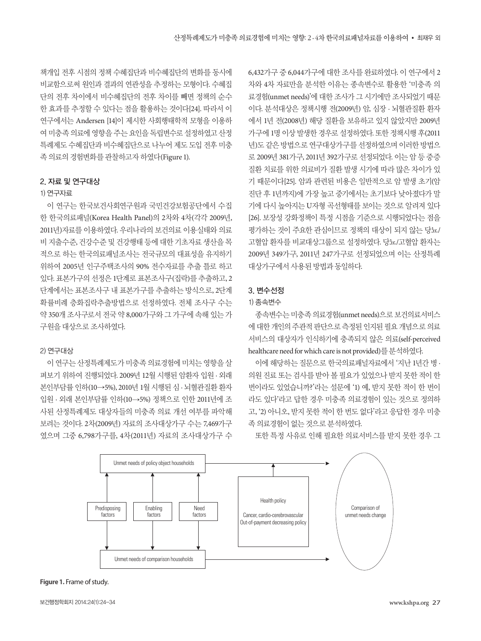책개입 전후 시점의 정책 수혜집단과 비수혜집단의 변화를 동시에 비교함으로써 원인과 결과의 연관성을 추정하는 모형이다. 수혜집 단의 전후 차이에서 비수혜집단의 전후 차이를 빼면 정책의 순수 한 효과를 추정할 수 있다는 점을 활용하는 것이다[24]. 따라서 이 연구에서는 Andersen [14]이 제시한 사회행태학적 모형을 이용하 여 미충족 의료에 영향을 주는 요인을 독립변수로 설정하였고 산정 특례제도 수혜집단과 비수혜집단으로 나누어 제도 도입 전후 미충 족의료의경험변화를관찰하고자하였다(Figure 1).

## 2. 자료 및 연구대상

## 1) 연구자료

이 연구는 한국보건사회연구원과 국민건강보험공단에서 수집 한 한국의료패널(Korea Health Panel)의 2차와 4차(각각 2009년, 2011년)자료를 이용하였다. 우리나라의 보건의료 이용실태와 의료 비 지출수준, 건강수준 및 건강행태 등에 대한 기초자료 생산을 목 적으로 하는 한국의료패널조사는 전국규모의 대표성을 유지하기 위하여 2005년 인구주택조사의 90% 전수자료를 추출 틀로 하고 있다. 표본가구의 선정은 1단계로 표본조사구(집락)를 추출하고, 2 단계에서는 표본조사구 내 표본가구를 추출하는 방식으로, 2단계 확률비례 층화집락추출방법으로 선정하였다. 전체 조사구 수는 약 350개 조사구로서 전국 약 8,000가구와 그 가구에 속해 있는 가 구원을대상으로조사하였다.

#### 2) 연구대상

이 연구는 산정특례제도가 미충족 의료경험에 미치는 영향을 살 펴보기 위하여 진행되었다. 2009년 12월 시행된 암환자 입원 · 외래 본인부담률 인하(10→5%), 2010년 1월 시행된 심 · 뇌혈관질환 환자 입원 · 외래 본인부담률 인하(10→5%) 정책으로 인한 2011년에 조 사된 산정특례제도 대상자들의 미충족 의료 개선 여부를 파악해 보려는 것이다. 2차(2009년) 자료의 조사대상가구 수는 7,469가구 였으며 그중 6,798가구를, 4차(2011년) 자료의 조사대상가구 수 6,432가구 중 6,044가구에 대한 조사를 완료하였다. 이 연구에서 2 차와 4차 자료만을 분석한 이유는 종속변수로 활용한 '미충족 의 료경험(unmet needs)'에 대한 조사가 그 시기에만 조사되었기 때문 이다. 분석대상은 정책시행 전(2009년) 암, 심장 · 뇌혈관질환 환자 에서 1년 전(2008년) 해당 질환을 보유하고 있지 않았지만 2009년 가구에 1명 이상 발생한 경우로 설정하였다. 또한 정책시행 후(2011 년)도 같은 방법으로 연구대상가구를 선정하였으며 이러한 방법으 로 2009년 381가구, 2011년 392가구로 선정되었다. 이는 암 등 중증 질환 치료를 위한 의료비가 질환 발생 시기에 따라 많은 차이가 있 기 때문이다[25]. 암과 관련된 비용은 일반적으로 암 발생 초기(암 진단 후 1년까지)에 가장 높고 중기에서는 초기보다 낮아졌다가 말 기에 다시 높아지는 U자형 곡선형태를 보이는 것으로 알려져 있다 [26]. 보장성 강화정책이 특정 시점을 기준으로 시행되었다는 점을 평가하는 것이 주요한 관심이므로 정책의 대상이 되지 않는 당뇨/ 고혈압 환자를 비교대상그룹으로 설정하였다. 당뇨/고혈압 환자는 2009년 349가구, 2011년 247가구로 선정되었으며 이는 산정특례 대상가구에서사용된방법과동일하다.

#### 3. 변수선정

# 1) 종속변수

종속변수는미충족의료경험(unmet needs)으로보건의료서비스 에대한개인의주관적판단으로측정된인지된필요개념으로의료 서비스의 대상자가 인식하기에 충족되지 않은 의료(self-perceived healthcare need for which care is not provided)를분석하였다.

이에 해당하는 질문으로 한국의료패널자료에서 '지난 1년간 병 · 의원 진료 또는 검사를 받아 볼 필요가 있었으나 받지 못한 적이 한 번이라도 있었습니까?'라는 설문에 '1) 예, 받지 못한 적이 한 번이 라도 있다'라고 답한 경우 미충족 의료경험이 있는 것으로 정의하 고, '2) 아니오, 받지 못한 적이 한 번도 없다'라고 응답한 경우 미충 족의료경험이없는것으로분석하였다.

또한 특정 사유로 인해 필요한 의료서비스를 받지 못한 경우 그



**Figure 1.** Frame of study.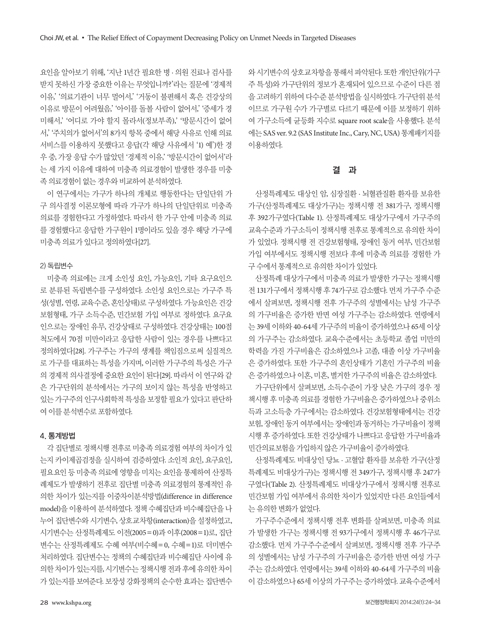요인을 알아보기 위해, '지난 1년간 필요한 병 · 의원 진료나 검사를 받지 못하신 가장 중요한 이유는 무엇입니까?'라는 질문에 '경제적 이유,' '의료기관이 너무 멀어서,' '거동이 불편해서 혹은 건강상의 이유로 방문이 어려웠음,' '아이를 돌볼 사람이 없어서,' '증세가 경 미해서,' '어디로 가야 할지 몰라서(정보부족),' '방문시간이 없어 서,' '주치의가 없어서'의 8가지 항목 중에서 해당 사유로 인해 의료 서비스를 이용하지 못했다고 응답(각 해당 사유에서 '1) 예')한 경 우 중, 가장 응답 수가 많았던 '경제적 이유,' '방문시간이 없어서'라 는 세 가지 이유에 대하여 미충족 의료경험이 발생한 경우를 미충 족의료경험이없는경우와비교하여분석하였다.

이 연구에서는 가구가 하나의 개체로 행동한다는 단일단위 가 구 의사결정 이론모형에 따라 가구가 하나의 단일단위로 미충족 의료를 경험한다고 가정하였다. 따라서 한 가구 안에 미충족 의료 를 경험했다고 응답한 가구원이 1명이라도 있을 경우 해당 가구에 미충족의료가있다고정의하였다[27].

#### 2) 독립변수

미충족 의료에는 크게 소인성 요인, 가능요인, 기타 요구요인으 로 분류된 독립변수를 구성하였다. 소인성 요인으로는 가구주 특 성(성별, 연령, 교육수준, 혼인상태)로 구성하였다. 가능요인은 건강 보험형태, 가구 소득수준, 민간보험 가입 여부로 정하였다. 요구요 인으로는 장애인 유무, 건강상태로 구성하였다. 건강상태는 100점 척도에서 70점 미만이라고 응답한 사람이 있는 경우를 나쁘다고 정의하였다[28]. 가구주는 가구의 생계를 책임짐으로써 실질적으 로 가구를 대표하는 특성을 가지며, 이러한 가구주의 특성은 가구 의 경제적 의사결정에 중요한 요인이 된다[29]. 따라서 이 연구와 같 은 가구단위의 분석에서는 가구의 보이지 않는 특성을 반영하고 있는 가구주의 인구사회학적 특성을 보정할 필요가 있다고 판단하 여이를분석변수로포함하였다.

#### 4. 통계방법

각 집단별로 정책시행 전후로 미충족 의료경험 여부의 차이가 있 는지 카이제곱검정을 실시하여 검증하였다. 소인적 요인, 요구요인, 필요요인 등 미충족 의료에 영향을 미치는 요인을 통제하여 산정특 례제도가 발생하기 전후로 집단별 미충족 의료경험의 통계적인 유 의한 차이가 있는지를 이중차이분석방법(difference in difference model)을 이용하여 분석하였다. 정책 수혜집단과 비수혜집단을 나 누어 집단변수와 시기변수, 상호교차항(interaction)을 설정하였고, 시기변수는 산정특례제도 이전(2005= 0)과 이후(2008=1)로, 집단 변수는 산정특례제도 수혜 여부(비수혜= 0, 수혜=1)로 더미변수 처리하였다. 집단변수는 정책의 수혜집단과 비수혜집단 사이에 유 의한 차이가 있는지를, 시기변수는 정책시행 전과 후에 유의한 차이 가 있는지를 보여준다. 보장성 강화정책의 순수한 효과는 집단변수 와시기변수의상호교차항을통해서파악된다. 또한개인단위(가구 주 특성)와 가구단위의 정보가 혼재되어 있으므로 수준이 다른 점 을고려하기위하여다수준분석방법을실시하였다. 가구단위분석 이므로 가구원 수가 가구별로 다르기 때문에 이를 보정하기 위하 여 가구소득에 균등화 지수로 square root scale을 사용했다. 분석 에는 SAS ver. 9.2 (SAS Institute Inc., Cary, NC, USA) 통계패키지를 이용하였다.

#### 결 과

산정특례제도 대상인 암, 심장질환 · 뇌혈관질환 환자를 보유한 가구(산정특례제도 대상가구)는 정책시행 전 381가구, 정책시행 후 392가구였다(Table 1). 산정특례제도 대상가구에서 가구주의 교육수준과 가구소득이 정책시행 전후로 통계적으로 유의한 차이 가 있었다. 정책시행 전 건강보험형태, 장애인 동거 여부, 민간보험 가입 여부에서도 정책시행 전보다 후에 미충족 의료를 경험한 가 구수에서통계적으로유의한차이가있었다.

산정특례 대상가구에서 미충족 의료가 발생한 가구는 정책시행 전 131가구에서 정책시행 후 74가구로 감소했다. 먼저 가구주 수준 에서 살펴보면, 정책시행 전후 가구주의 성별에서는 남성 가구주 의 가구비율은 증가한 반면 여성 가구주는 감소하였다. 연령에서 는 39세 이하와 40-64세 가구주의 비율이 증가하였으나 65세 이상 의 가구주는 감소하였다. 교육수준에서는 초등학교 졸업 미만의 학력을 가진 가구비율은 감소하였으나 고졸, 대졸 이상 가구비율 은 증가하였다. 또한 가구주의 혼인상태가 기혼인 가구주의 비율 은증가하였으나이혼, 미혼, 별거한가구주의비율은감소하였다.

가구단위에서 살펴보면, 소득수준이 가장 낮은 가구의 경우 정 책시행 후 미충족 의료를 경험한 가구비율은 증가하였으나 중위소 득과 고소득층 가구에서는 감소하였다. 건강보험형태에서는 건강 보험, 장애인 동거 여부에서는 장애인과 동거하는 가구비율이 정책 시행 후 증가하였다. 또한 건강상태가 나쁘다고 응답한 가구비율과 민간의료보험을 가입하지않은가구비율이증가하였다.

산정특례제도 비대상인 당뇨 · 고혈압 환자를 보유한 가구(산정 특례제도 비대상가구)는 정책시행 전 349가구, 정책시행 후 247가 구였다(Table 2). 산정특례제도 비대상가구에서 정책시행 전후로 민간보험 가입 여부에서 유의한 차이가 있었지만 다른 요인들에서 는유의한변화가없었다.

가구주수준에서 정책시행 전후 변화를 살펴보면, 미충족 의료 가 발생한 가구는 정책시행 전 93가구에서 정책시행 후 46가구로 감소했다. 먼저 가구주수준에서 살펴보면, 정책시행 전후 가구주 의 성별에서는 남성 가구주의 가구비율은 증가한 반면 여성 가구 주는 감소하였다. 연령에서는 39세 이하와 40-64세 가구주의 비율 이 감소하였으나 65세 이상의 가구주는 증가하였다. 교육수준에서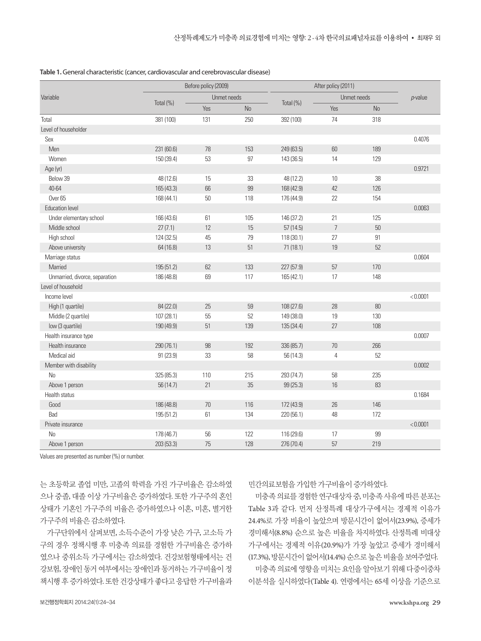|                                | Before policy (2009) |             |           | After policy (2011) |                |           |            |
|--------------------------------|----------------------|-------------|-----------|---------------------|----------------|-----------|------------|
| Variable                       |                      | Unmet needs |           |                     | Unmet needs    |           | $p$ -value |
|                                | Total (%)            | Yes         | <b>No</b> | Total $(\%)$        | Yes            | <b>No</b> |            |
| Total                          | 381 (100)            | 131         | 250       | 392 (100)           | 74             | 318       |            |
| Level of householder           |                      |             |           |                     |                |           |            |
| Sex                            |                      |             |           |                     |                |           | 0.4076     |
| Men                            | 231 (60.6)           | 78          | 153       | 249 (63.5)          | 60             | 189       |            |
| Women                          | 150 (39.4)           | 53          | 97        | 143 (36.5)          | 14             | 129       |            |
| Age (yr)                       |                      |             |           |                     |                |           | 0.9721     |
| Below 39                       | 48 (12.6)            | 15          | 33        | 48 (12.2)           | 10             | 38        |            |
| 40-64                          | 165 (43.3)           | 66          | 99        | 168 (42.9)          | 42             | 126       |            |
| Over <sub>65</sub>             | 168 (44.1)           | 50          | 118       | 176 (44.9)          | 22             | 154       |            |
| <b>Education level</b>         |                      |             |           |                     |                |           | 0.0063     |
| Under elementary school        | 166 (43.6)           | 61          | 105       | 146 (37.2)          | 21             | 125       |            |
| Middle school                  | 27(7.1)              | 12          | 15        | 57(14.5)            | $\overline{7}$ | 50        |            |
| High school                    | 124 (32.5)           | 45          | 79        | 118 (30.1)          | 27             | 91        |            |
| Above university               | 64(16.8)             | 13          | 51        | 71(18.1)            | 19             | 52        |            |
| Marriage status                |                      |             |           |                     |                |           | 0.0604     |
| Married                        | 195 (51.2)           | 62          | 133       | 227 (57.9)          | 57             | 170       |            |
| Unmarried, divorce, separation | 186 (48.8)           | 69          | 117       | 165 (42.1)          | 17             | 148       |            |
| Level of household             |                      |             |           |                     |                |           |            |
| Income level                   |                      |             |           |                     |                |           | < 0.0001   |
| High (1 quartile)              | 84 (22.0)            | 25          | 59        | 108 (27.6)          | 28             | 80        |            |
| Middle (2 quartile)            | 107 (28.1)           | 55          | 52        | 149 (38.0)          | 19             | 130       |            |
| low (3 quartile)               | 190 (49.9)           | 51          | 139       | 135 (34.4)          | 27             | 108       |            |
| Health insurance type          |                      |             |           |                     |                |           | 0.0007     |
| Health insurance               | 290 (76.1)           | 98          | 192       | 336 (85.7)          | 70             | 266       |            |
| Medical aid                    | 91 (23.9)            | 33          | 58        | 56 (14.3)           | $\overline{4}$ | 52        |            |
| Member with disability         |                      |             |           |                     |                |           | 0.0002     |
| <b>No</b>                      | 325 (85.3)           | 110         | 215       | 293 (74.7)          | 58             | 235       |            |
| Above 1 person                 | 56 (14.7)            | 21          | 35        | 99 (25.3)           | 16             | 83        |            |
| Health status                  |                      |             |           |                     |                |           | 0.1684     |
| Good                           | 186 (48.8)           | 70          | 116       | 172 (43.9)          | 26             | 146       |            |
| Bad                            | 195 (51.2)           | 61          | 134       | 220 (56.1)          | 48             | 172       |            |
| Private insurance              |                      |             |           |                     |                |           | < 0.0001   |
| No                             | 178 (46.7)           | 56          | 122       | 116 (29.6)          | 17             | 99        |            |
| Above 1 person                 | 203 (53.3)           | 75          | 128       | 276 (70.4)          | 57             | 219       |            |

**Table 1.** General characteristic (cancer, cardiovascular and cerebrovascular disease)

Values are presented as number (%) or number.

는 초등학교 졸업 미만, 고졸의 학력을 가진 가구비율은 감소하였 으나 중졸, 대졸 이상 가구비율은 증가하였다. 또한 가구주의 혼인 상태가 기혼인 가구주의 비율은 증가하였으나 이혼, 미혼, 별거한 가구주의비율은감소하였다.

가구단위에서 살펴보면, 소득수준이 가장 낮은 가구, 고소득 가 구의 경우 정책시행 후 미충족 의료를 경험한 가구비율은 증가하 였으나 중위소득 가구에서는 감소하였다. 건강보험형태에서는 건 강보험, 장애인 동거 여부에서는 장애인과 동거하는 가구비율이 정 책시행 후 증가하였다. 또한 건강상태가 좋다고 응답한 가구비율과 민간의료보험을 가입한가구비율이증가하였다.

미충족의료를경험한연구대상자중, 미충족사유에따른분포는 Table 3과 같다. 먼저 산정특례 대상가구에서는 경제적 이유가 24.4%로 가장 비율이 높았으며 방문시간이 없어서(23.9%), 증세가 경미해서(8.8%) 순으로 높은 비율을 차지하였다. 산정특례 비대상 가구에서는 경제적 이유(20.9%)가 가장 높았고 증세가 경미해서 (17.3%), 방문시간이없어서(14.4%) 순으로높은비율을보여주었다. 미충족 의료에 영향을 미치는 요인을 알아보기 위해 다중이중차 이분석을 실시하였다(Table 4). 연령에서는 65세 이상을 기준으로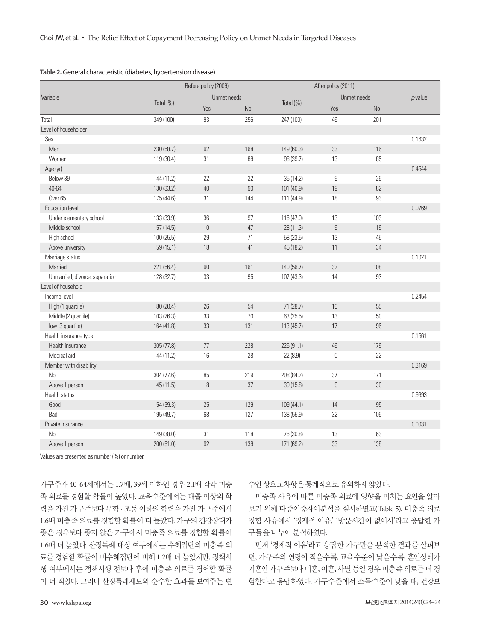|                                | Before policy (2009) |             |           | After policy (2011) |                  |           |            |
|--------------------------------|----------------------|-------------|-----------|---------------------|------------------|-----------|------------|
| Variable                       |                      | Unmet needs |           |                     | Unmet needs      |           | $p$ -value |
|                                | Total (%)            | Yes         | <b>No</b> | Total (%)           | Yes              | <b>No</b> |            |
| Total                          | 349 (100)            | 93          | 256       | 247 (100)           | 46               | 201       |            |
| Level of householder           |                      |             |           |                     |                  |           |            |
| Sex                            |                      |             |           |                     |                  |           | 0.1632     |
| Men                            | 230 (58.7)           | 62          | 168       | 149 (60.3)          | 33               | 116       |            |
| Women                          | 119 (30.4)           | 31          | 88        | 98 (39.7)           | 13               | 85        |            |
| Age (yr)                       |                      |             |           |                     |                  |           | 0.4544     |
| Below 39                       | 44 (11.2)            | 22          | 22        | 35(14.2)            | $\boldsymbol{9}$ | 26        |            |
| 40-64                          | 130 (33.2)           | 40          | 90        | 101 (40.9)          | 19               | 82        |            |
| Over <sub>65</sub>             | 175 (44.6)           | 31          | 144       | 111 (44.9)          | 18               | 93        |            |
| <b>Education level</b>         |                      |             |           |                     |                  |           | 0.0769     |
| Under elementary school        | 133 (33.9)           | 36          | 97        | 116 (47.0)          | 13               | 103       |            |
| Middle school                  | 57(14.5)             | $10\,$      | 47        | 28 (11.3)           | $\boldsymbol{9}$ | 19        |            |
| High school                    | 100 (25.5)           | 29          | 71        | 58 (23.5)           | 13               | 45        |            |
| Above university               | 59(15.1)             | 18          | 41        | 45 (18.2)           | 11               | 34        |            |
| Marriage status                |                      |             |           |                     |                  |           | 0.1021     |
| Married                        | 221 (56.4)           | 60          | 161       | 140 (56.7)          | 32               | 108       |            |
| Unmarried, divorce, separation | 128 (32.7)           | 33          | 95        | 107 (43.3)          | 14               | 93        |            |
| Level of household             |                      |             |           |                     |                  |           |            |
| Income level                   |                      |             |           |                     |                  |           | 0.2454     |
| High (1 quartile)              | 80 (20.4)            | 26          | 54        | 71 (28.7)           | 16               | 55        |            |
| Middle (2 quartile)            | 103 (26.3)           | 33          | 70        | 63(25.5)            | 13               | 50        |            |
| low (3 quartile)               | 164 (41.8)           | 33          | 131       | 113(45.7)           | 17               | 96        |            |
| Health insurance type          |                      |             |           |                     |                  |           | 0.1561     |
| Health insurance               | 305(77.8)            | 77          | 228       | 225 (91.1)          | 46               | 179       |            |
| Medical aid                    | 44 (11.2)            | 16          | 28        | 22(8.9)             | $\mathbf 0$      | 22        |            |
| Member with disability         |                      |             |           |                     |                  |           | 0.3169     |
| <b>No</b>                      | 304 (77.6)           | 85          | 219       | 208 (84.2)          | 37               | 171       |            |
| Above 1 person                 | 45(11.5)             | $\, 8$      | 37        | 39(15.8)            | $\boldsymbol{9}$ | $30\,$    |            |
| Health status                  |                      |             |           |                     |                  |           | 0.9993     |
| Good                           | 154 (39.3)           | 25          | 129       | 109 (44.1)          | 14               | 95        |            |
| Bad                            | 195 (49.7)           | 68          | 127       | 138 (55.9)          | 32               | 106       |            |
| Private insurance              |                      |             |           |                     |                  |           | 0.0031     |
| <b>No</b>                      | 149 (38.0)           | 31          | 118       | 76 (30.8)           | 13               | 63        |            |
| Above 1 person                 | 200 (51.0)           | 62          | 138       | 171 (69.2)          | 33               | 138       |            |

Values are presented as number (%) or number.

가구주가 40-64세에서는 1.7배, 39세 이하인 경우 2.1배 각각 미충 족 의료를 경험할 확률이 높았다. 교육수준에서는 대졸 이상의 학 력을 가진 가구주보다 무학 · 초등 이하의 학력을 가진 가구주에서 1.6배 미충족 의료를 경험할 확률이 더 높았다. 가구의 건강상태가 좋은 경우보다 좋지 않은 가구에서 미충족 의료를 경험할 확률이 1.6배 더 높았다. 산정특례 대상 여부에서는 수혜집단의 미충족 의 료를 경험할 확률이 비수혜집단에 비해 1.2배 더 높았지만, 정책시 행 여부에서는 정책시행 전보다 후에 미충족 의료를 경험할 확률 이 더 적었다. 그러나 산정특례제도의 순수한 효과를 보여주는 변

수인상호교차항은통계적으로유의하지않았다.

미충족 사유에 따른 미충족 의료에 영향을 미치는 요인을 알아 보기 위해 다중이중차이분석을 실시하였고(Table 5), 미충족 의료 경험 사유에서 '경제적 이유,' '방문시간이 없어서'라고 응답한 가 구들을나누어분석하였다.

먼저 '경제적 이유'라고 응답한 가구만을 분석한 결과를 살펴보 면, 가구주의 연령이 적을수록, 교육수준이 낮을수록, 혼인상태가 기혼인가구주보다미혼, 이혼, 사별등일경우미충족의료를더경 험한다고 응답하였다. 가구수준에서 소득수준이 낮을 때, 건강보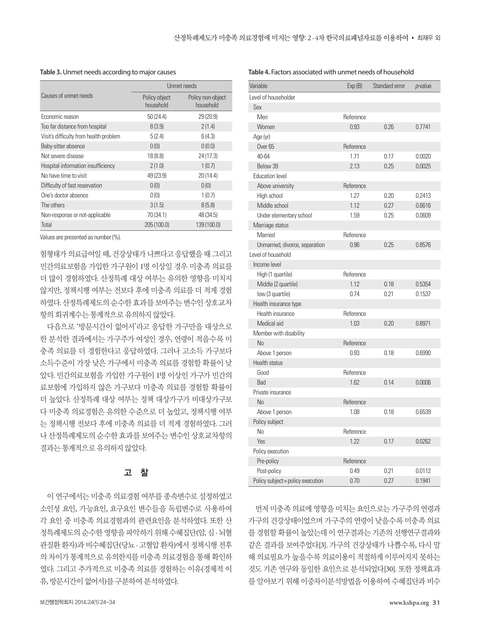|                                        | Unmet needs                |                                |  |  |
|----------------------------------------|----------------------------|--------------------------------|--|--|
| Causes of unmet needs                  | Policy object<br>household | Policy non-object<br>household |  |  |
| Economic reason                        | 50(24.4)                   | 29 (20.9)                      |  |  |
| Too far distance from hospital         | 8(3.9)                     | 2(1.4)                         |  |  |
| Visit's difficulty from health problem | 5(2.4)                     | 6(4.3)                         |  |  |
| Baby-sitter absence                    | 0(0)                       | 0(0.0)                         |  |  |
| Not severe disease                     | 18 (8.8)                   | 24(17.3)                       |  |  |
| Hospital information insufficiency     | 2(1.0)                     | 1(0.7)                         |  |  |
| No have time to visit                  | 49 (23.9)                  | 20(14.4)                       |  |  |
| Difficulty of fast reservation         | 0(0)                       | 0(0)                           |  |  |
| One's doctor absence                   | 0(0)                       | 1(0.7)                         |  |  |
| The others                             | 3(1.5)                     | 8(5.8)                         |  |  |
| Non-response or not-applicable         | 70 (34.1)                  | 48 (34.5)                      |  |  |
| Total                                  | 205 (100.0)                | 139 (100.0)                    |  |  |

**Table 3.** Unmet needs according to major causes

Values are presented as number (%).

험형태가 의료급여일 때, 건강상태가 나쁘다고 응답했을 때 그리고 민간의료보험을 가입한 가구원이 1명 이상일 경우 미충족 의료를 더 많이 경험하였다. 산정특례 대상 여부는 유의한 영향을 미치지 않지만, 정책시행 여부는 전보다 후에 미충족 의료를 더 적게 경험 하였다. 산정특례제도의순수한효과를보여주는변수인상호교차 항의회귀계수는통계적으로유의하지않았다.

다음으로 '방문시간이 없어서'라고 응답한 가구만을 대상으로 한 분석한 결과에서는 가구주가 여성인 경우, 연령이 적을수록 미 충족 의료를 더 경험한다고 응답하였다. 그러나 고소득 가구보다 소득수준이 가장 낮은 가구에서 미충족 의료를 경험할 확률이 낮 았다. 민간의료보험을 가입한 가구원이 1명 이상인 가구가 민간의 료보험에 가입하지 않은 가구보다 미충족 의료를 경험할 확률이 더 높았다. 산정특례 대상 여부는 정책 대상가구가 비대상가구보 다 미충족 의료경험은 유의한 수준으로 더 높았고, 정책시행 여부 는 정책시행 전보다 후에 미충족 의료를 더 적게 경험하였다. 그러 나 산정특례제도의 순수한 효과를 보여주는 변수인 상호교차항의 결과는통계적으로유의하지않았다.

# 고 찰

이 연구에서는 미충족 의료경험 여부를 종속변수로 설정하였고 소인성 요인, 가능요인, 요구요인 변수들을 독립변수로 사용하여 각 요인 중 미충족 의료경험과의 관련요인을 분석하였다. 또한 산 정특례제도의 순수한 영향을 파악하기 위해 수혜집단(암, 심 · 뇌혈 관질환 환자)과 비수혜집단(당뇨 · 고혈압 환자)에서 정책시행 전후 의 차이가 통계적으로 유의한지를 미충족 의료경험을 통해 확인하 였다. 그리고 추가적으로 미충족 의료를 경험하는 이유(경제적 이 유, 방문시간이없어서)를구분하여분석하였다.

| <b>Table 4.</b> Factors associated with unmet needs of household |           |                |            |  |  |
|------------------------------------------------------------------|-----------|----------------|------------|--|--|
| Variable                                                         | Exp(B)    | Standard error | $p$ -value |  |  |
| Level of householder                                             |           |                |            |  |  |
| Sex                                                              |           |                |            |  |  |
| Men                                                              | Reference |                |            |  |  |
| Women                                                            | 0.93      | 0.26           | 0.7741     |  |  |
| Age (yr)                                                         |           |                |            |  |  |
| Over <sub>65</sub>                                               | Reference |                |            |  |  |
| 40-64                                                            | 1.71      | 0.17           | 0.0020     |  |  |
| Below 39                                                         | 2.13      | 0.25           | 0.0025     |  |  |
| <b>Education level</b>                                           |           |                |            |  |  |
| Above university                                                 | Reference |                |            |  |  |
| High school                                                      | 1.27      | 0.20           | 0.2413     |  |  |
| Middle school                                                    | 1.12      | 0.27           | 0.6616     |  |  |
| Under elementary school                                          | 1.59      | 0.25           | 0.0609     |  |  |
| Marriage status                                                  |           |                |            |  |  |
| Married                                                          | Reference |                |            |  |  |
| Unmarried, divorce, separation                                   | 0.96      | 0.25           | 0.8576     |  |  |
| Level of household                                               |           |                |            |  |  |
| Income level                                                     |           |                |            |  |  |
| High (1 quartile)                                                | Reference |                |            |  |  |
| Middle (2 quartile)                                              | 1.12      | 0.18           | 0.5354     |  |  |
| low (3 quartile)                                                 | 0.74      | 0.21           | 0.1537     |  |  |
| Health insurance type                                            |           |                |            |  |  |
| Health insurance                                                 | Reference |                |            |  |  |
| Medical aid                                                      | 1.03      | 0.20           | 0.8971     |  |  |
| Member with disability                                           |           |                |            |  |  |
| No                                                               | Reference |                |            |  |  |
| Above 1 person                                                   | 0.93      | 0.18           | 0.6990     |  |  |
| <b>Health status</b>                                             |           |                |            |  |  |
| Good                                                             | Reference |                |            |  |  |
| Bad                                                              | 1.62      | 0.14           | 0.0006     |  |  |
| Private insurance                                                |           |                |            |  |  |
| No                                                               | Reference |                |            |  |  |
| Above 1 person                                                   | 1.08      | 0.18           | 0.6539     |  |  |
| Policy subject                                                   |           |                |            |  |  |
| N <sub>0</sub>                                                   | Reference |                |            |  |  |
| Yes                                                              | 1.22      | 0.17           | 0.0262     |  |  |
| Policy execution                                                 |           |                |            |  |  |
| Pre-policy                                                       | Reference |                |            |  |  |
| Post-policy                                                      | 0.49      | 0.21           | 0.0112     |  |  |
| Policy subject × policy execution                                | 0.70      | 0.27           | 0.1941     |  |  |

먼저 미충족 의료에 영향을 미치는 요인으로는 가구주의 연령과 가구의 건강상태이었으며 가구주의 연령이 낮을수록 미충족 의료 를 경험할 확률이 높았는데 이 연구결과는 기존의 선행연구결과와 같은 결과를 보여주었다[3]. 가구의 건강상태가 나쁠수록, 다시 말 해 의료필요가 높을수록 의료이용이 적절하게 이루어지지 못하는 것도 기존 연구와 동일한 요인으로 분석되었다[30]. 또한 정책효과 를 알아보기 위해 이중차이분석방법을 이용하여 수혜집단과 비수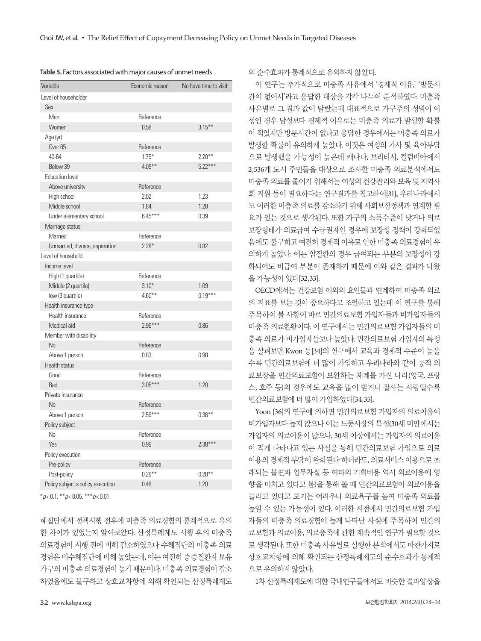| Variable                          |           | Economic reason No have time to visit |
|-----------------------------------|-----------|---------------------------------------|
| Level of householder              |           |                                       |
| Sex                               |           |                                       |
| Men                               | Reference |                                       |
| Women                             | 0.58      | $3.15***$                             |
| Age (yr)                          |           |                                       |
| Over <sub>65</sub>                | Reference |                                       |
| 40-64                             | $1.79*$   | $2.20***$                             |
| Below 39                          | $4.09***$ | $5.22***$                             |
| <b>Education level</b>            |           |                                       |
| Above university                  | Reference |                                       |
| High school                       | 2.02      | 1.23                                  |
| Middle school                     | 1.84      | 1.28                                  |
| Under elementary school           | $6.45***$ | 0.39                                  |
| Marriage status                   |           |                                       |
| Married                           | Reference |                                       |
| Unmarried, divorce, separation    | $2.28*$   | 0.82                                  |
| Level of household                |           |                                       |
| Income level                      |           |                                       |
| High (1 quartile)                 | Reference |                                       |
| Middle (2 quartile)               | $3.10*$   | 1.09                                  |
| low (3 quartile)                  | $4.60***$ | $0.19***$                             |
| Health insurance type             |           |                                       |
| Health insurance                  | Reference |                                       |
| Medical aid                       | $2.96***$ | 0.86                                  |
| Member with disability            |           |                                       |
| N <sub>o</sub>                    | Reference |                                       |
| Above 1 person                    | 0.83      | 0.98                                  |
| Health status                     |           |                                       |
| Good                              | Reference |                                       |
| Bad                               | $3.05***$ | 1.20                                  |
| Private insurance                 |           |                                       |
| No                                | Reference |                                       |
| Above 1 person                    | $2.59***$ | $0.36***$                             |
| Policy subject                    |           |                                       |
| No                                | Reference |                                       |
| Yes                               | 0.99      | $2.38***$                             |
| Policy execution                  |           |                                       |
| Pre-policy                        | Reference |                                       |
| Post-policy                       | $0.29***$ | $0.28***$                             |
| Policy subject × policy execution | 0.48      | 1.20                                  |

**Table 5.** Factors associated with major causes of unmet needs

\**p*< 0.1. \*\**p*< 0.05. \*\*\**p*< 0.01.

혜집단에서 정책시행 전후에 미충족 의료경험의 통계적으로 유의 한 차이가 있었는지 알아보았다. 산정특례제도 시행 후의 미충족 의료경험이 시행 전에 비해 감소하였으나 수혜집단의 미충족 의료 경험은비수혜집단에비해높았는데, 이는여전히중증질환자보유 가구의 미충족 의료경험이 높기 때문이다. 미충족 의료경험이 감소 하였음에도 불구하고 상호교차항에 의해 확인되는 산정특례제도

의순수효과가통계적으로유의하지않았다.

이 연구는 추가적으로 미충족 사유에서 '경제적 이유,' '방문시 간이 없어서'라고 응답한 대상을 각각 나누어 분석하였다. 미충족 사유별로 그 결과 값이 달랐는데 대표적으로 가구주의 성별이 여 성인 경우 남성보다 경제적 이유로는 미충족 의료가 발생할 확률 이 적었지만 방문시간이 없다고 응답한 경우에서는 미충족 의료가 발생할 확률이 유의하게 높았다. 이것은 여성의 가사 및 육아부담 으로 발생했을 가능성이 높은데 캐나다, 브리티시, 컬럼비아에서 2,536개 도시 주민들을 대상으로 조사한 미충족 의료분석에서도 미충족의료를줄이기 위해서는여성의 건강관리와 보육및 지역사 회 지원 등이 필요하다는 연구결과를 참고하여[31], 우리나라에서 도 이러한 미충족 의료를 감소하기 위해 사회보장정책과 연계할 필 요가 있는 것으로 생각된다. 또한 가구의 소득수준이 낮거나 의료 보장형태가 의료급여 수급권자인 경우에 보장성 정책이 강화되었 음에도 불구하고 여전히 경제적 이유로 인한 미충족 의료경험이 유 의하게 높았다. 이는 암질환의 경우 급여되는 부분의 보장성이 강 화되어도 비급여 부분이 존재하기 때문에 이와 같은 결과가 나왔 을가능성이있다[32,33].

OECD에서는 건강보험 이외의 요인들과 연계하여 미충족 의료 의 지표를 보는 것이 중요하다고 조언하고 있는데 이 연구를 통해 주목하여 볼 사항이 바로 민간의료보험 가입자들과 비가입자들의 미충족 의료현황이다. 이 연구에서는 민간의료보험 가입자들의 미 충족 의료가 비가입자들보다 높았다. 민간의료보험 가입자의 특성 을 살펴보면 Kwon 등[34]의 연구에서 교육과 경제적 수준이 높을 수록 민간의료보험에 더 많이 가입하고 우리나라와 같이 공적 의 료보장을 민간의료보험이 보완하는 체계를 가진 나라(영국, 프랑 스, 호주 등)의 경우에도 교육을 많이 받거나 잘사는 사람일수록 민간의료보험에더많이가입하였다[34,35].

Yoon [36]의 연구에 의하면 민간의료보험 가입자의 의료이용이 비가입자보다 높지 않으나 이는 노동시장의 특성(30세 미만에서는 가입자의 의료이용이 많으나, 30세 이상에서는 가입자의 의료이용 이 적게 나타나고 있는 사실을 통해 민간의료보험 가입으로 의료 이용의경제적부담이완화된다하더라도, 의료서비스이용으로초 래되는 불편과 업무차질 등 여타의 기회비용 역시 의료이용에 영 향을 미치고 있다고 봄)을 통해 볼 때 민간의료보험이 의료이용을 늘리고 있다고 보기는 어려우나 의료욕구를 높여 미충족 의료를 높일 수 있는 가능성이 있다. 이러한 시점에서 민간의료보험 가입 자들의 미충족 의료경험이 높게 나타난 사실에 주목하여 민간의 료보험과 의료이용, 의료충족에 관한 계속적인 연구가 필요할 것으 로 생각된다. 또한 미충족 사유별로 실행한 분석에서도 마찬가지로 상호교차항에 의해 확인되는 산정특례제도의 순수효과가 통계적 으로유의하지않았다.

1차 산정특례제도에 대한 국내연구들에서도 비슷한 결과양상을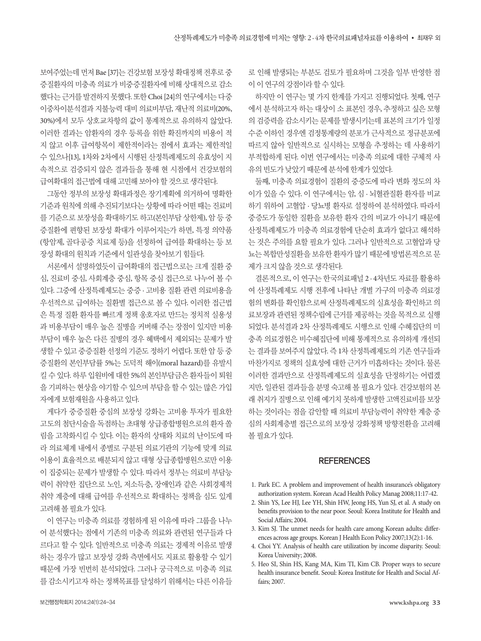보여주었는데 먼저 Bae [37]는 건강보험 보장성 확대정책 전후로 중 증질환자의 미충족 의료가 비중증질환자에 비해 상대적으로 감소 했다는 근거를 발견하지 못했다. 또한 Choi [24]의 연구에서는 다중 이중차이분석결과 지불능력 대비 의료비부담, 재난적 의료비(20%, 30%)에서 모두 상호교차항의 값이 통계적으로 유의하지 않았다. 이러한 결과는 암환자의 경우 등록을 위한 확진까지의 비용이 적 지 않고 이후 급여항목이 제한적이라는 점에서 효과는 제한적일 수 있으나[13], 1차와 2차에서 시행된 산정특례제도의 유효성이 지 속적으로 검증되지 않은 결과들을 통해 현 시점에서 건강보험의 급여확대의접근법에대해고민해보아야할것으로생각된다.

그동안 정부의 보장성 확대과정은 장기계획에 의거하여 명확한 기준과 워칙에 의해 추진되기보다는 상황에 따라 어떤 때는 진료비 를 기준으로 보장성을 확대하기도 하고(본인부담 상한제), 암 등 중 증질환에 편향된 보장성 확대가 이루어지는가 하면, 특정 의약품 (항암제, 골다공증 치료제 등)을 선정하여 급여를 확대하는 등 보 장성확대의원칙과기준에서일관성을찾아보기힘들다.

서론에서 설명하였듯이 급여확대의 접근법으로는 크게 질환 중 심, 진료비 중심, 사회계층 중심, 항목 중심 접근으로 나누어 볼 수 있다. 그중에 산정특례제도는 중증 · 고비용 질환 관련 의료비용을 우선적으로 급여하는 질환별 접근으로 볼 수 있다. 이러한 접근법 은 특정 질환 환자를 빠르게 정책 옹호자로 만드는 정치적 실용성 과 비용부담이 매우 높은 질병을 커버해 주는 장점이 있지만 비용 부담이 매우 높은 다른 질병의 경우 혜택에서 제외되는 문제가 발 생할 수 있고 중증질환 선정의 기준도 정하기 어렵다. 또한 암 등 중 증질환의 본인부담률 5%는 도덕적 해이(moral hazard)를 유발시 킬 수 있다. 하루 입원비에 대한 5%의 본인부담금은 환자들이 퇴원 을 기피하는 현상을 야기할 수 있으며 부담을 할 수 있는 많은 가입 자에게보험재원을사용하고있다.

게다가 중증질환 중심의 보장성 강화는 고비용 투자가 필요한 고도의 첨단시술을 독점하는 초대형 상급종합병원으로의 환자 쏠 림을 고착화시킬 수 있다. 이는 환자의 상태와 치료의 난이도에 따 라 의료체계 내에서 종별로 구분된 의료기관의 기능에 맞게 의료 이용이 효율적으로 배분되지 않고 대형 상급종합병원으로만 이용 이 집중되는 문제가 발생할 수 있다. 따라서 정부는 의료비 부담능 력이 취약한 집단으로 노인, 저소득층, 장애인과 같은 사회경제적 취약 계층에 대해 급여를 우선적으로 확대하는 정책을 심도 있게 고려해볼필요가있다.

이 연구는 미충족 의료를 경험하게 된 이유에 따라 그룹을 나누 어 분석했다는 점에서 기존의 미충족 의료와 관련된 연구들과 다 르다고 할 수 있다. 일반적으로 미충족 의료는 경제적 이유로 발생 하는 경우가 많고 보장성 강화 측면에서도 지표로 활용할 수 있기 때문에 가장 빈번히 분석되었다. 그러나 궁극적으로 미충족 의료 를 감소시키고자 하는 정책목표를 달성하기 위해서는 다른 이유들 로 인해 발생되는 부분도 검토가 필요하며 그것을 일부 반영한 점 이 이 연구의 강점이라 할 수 있다.

하지만 이 연구는 몇 가지 한계를 가지고 진행되었다. 첫째, 연구 에서 분석하고자 하는 대상이 소 표본인 경우, 추정하고 싶은 모형 의 검증력을 감소시키는 문제를 발생시키는데 표본의 크기가 일정 수준 이하인 경우엔 검정통계량의 분포가 근사적으로 정규분포에 따르지 않아 일반적으로 실시하는 모형을 추정하는 데 사용하기 부적합하게 된다. 이번 연구에서는 미충족 의료에 대한 구체적 사 유의 빈도가 낮았기 때문에 부석에 한계가 있었다.

둘째, 미충족 의료경험이 질환의 중증도에 따라 변화 정도의 차 이가 있을 수 있다. 이 연구에서는 암, 심 · 뇌혈관질환 환자를 비교 하기 위하여 고혈압 · 당뇨병 환자로 설정하여 분석하였다. 따라서 중증도가 동일한 질환을 보유한 환자 간의 비교가 아니기 때문에 산정특례제도가 미충족 의료경험에 단순히 효과가 없다고 해석하 는 것은 주의를 요할 필요가 있다. 그러나 일반적으로 고혈압과 당 뇨는 복합만성질환을 보유한 환자가 많기 때문에 방법론적으로 문 제가크지않을것으로생각된다.

결론적으로, 이 연구는 한국의료패널 2 · 4차년도 자료를 활용하 여 산정특례제도 시행 전후에 나타난 개별 가구의 미충족 의료경 험의 변화를 확인함으로써 산정특례제도의 실효성을 확인하고 의 료보장과 관련된 정책수립에 근거를 제공하는 것을 목적으로 실행 되었다. 분석결과 2차 산정특례제도 시행으로 인해 수혜집단의 미 충족 의료경험은 비수혜집단에 비해 통계적으로 유의하게 개선되 는 결과를 보여주지 않았다. 즉 1차 산정특례제도의 기존 연구들과 마찬가지로 정책의 실효성에 대한 근거가 미흡하다는 것이다. 물론 이러한 결과만으로 산정특례제도의 실효성을 단정하기는 어렵겠 지만, 일관된 결과들을 분명 숙고해 볼 필요가 있다. 건강보험의 본 래 취지가 질병으로 인해 예기치 못하게 발생한 고액진료비를 보장 하는 것이라는 점을 감안할 때 의료비 부담능력이 취약한 계층 중 심의 사회계층별 접근으로의 보장성 강화정책 방향전환을 고려해 볼필요가있다.

#### **REFERENCES**

- 1. Park EC. A problem and improvement of health insurance's obligatory authorization system. Korean Acad Health Policy Manag 2008;11:17-42.
- 2. Shin YS, Lee HJ, Lee YH, Shin HW, Jeong HS, Yun SJ, et al. A study on benefits provision to the near poor. Seoul: Korea Institute for Health and Social Affairs; 2004.
- 3. Kim SJ. The unmet needs for health care among Korean adults: differences across age groups. Korean J Health Econ Policy 2007;13(2):1-16.
- 4. Choi YY. Analysis of health care utilization by income disparity. Seoul: Korea University; 2008.
- 5. Heo SI, Shin HS, Kang MA, Kim TI, Kim CB. Proper ways to secure health insurance benefit. Seoul: Korea Institute for Health and Social Affairs; 2007.